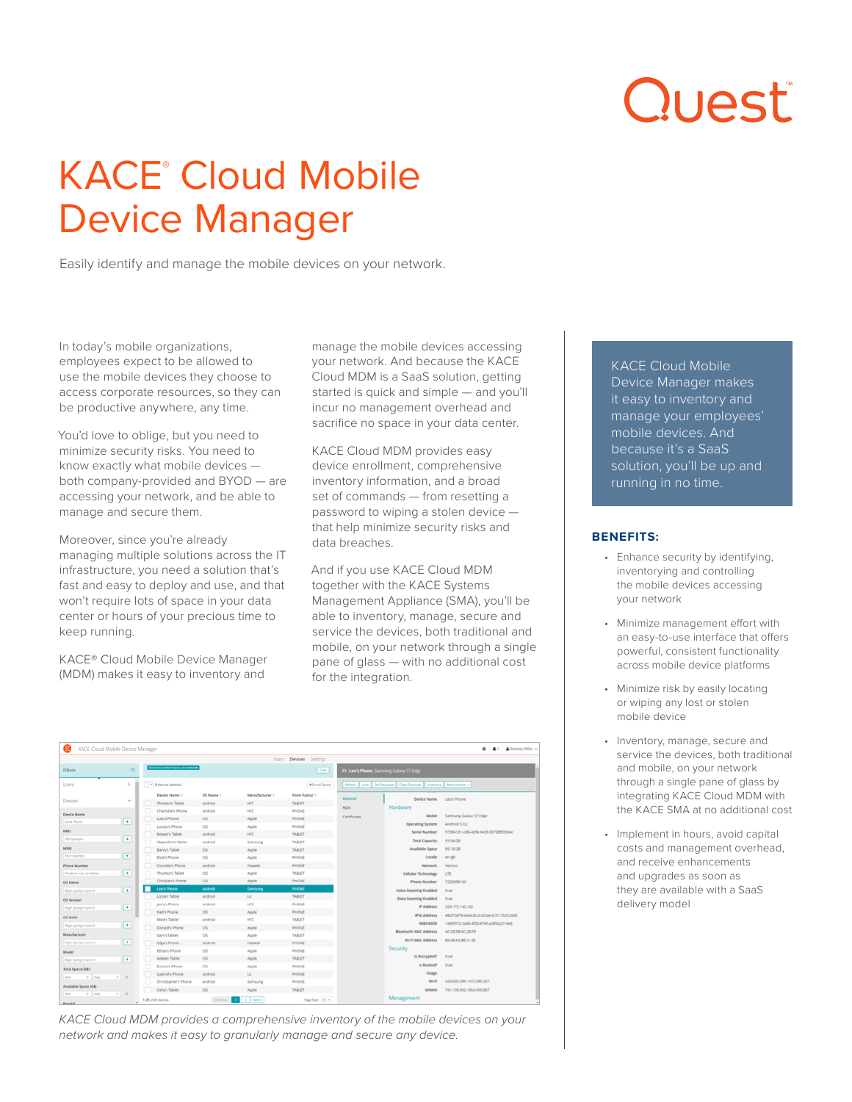# Quest

## KACE<sup>®</sup> Cloud Mobile Device Manager

Easily identify and manage the mobile devices on your network.

In today's mobile organizations, employees expect to be allowed to use the mobile devices they choose to access corporate resources, so they can be productive anywhere, any time.

You'd love to oblige, but you need to minimize security risks. You need to know exactly what mobile devices both company-provided and BYOD — are accessing your network, and be able to manage and secure them.

Moreover, since you're already managing multiple solutions across the IT infrastructure, you need a solution that's fast and easy to deploy and use, and that won't require lots of space in your data center or hours of your precious time to keep running.

KACE® Cloud Mobile Device Manager (MDM) makes it easy to inventory and

manage the mobile devices accessing your network. And because the KACE Cloud MDM is a SaaS solution, getting started is quick and simple — and you'll incur no management overhead and sacrifice no space in your data center.

KACE Cloud MDM provides easy device enrollment, comprehensive inventory information, and a broad set of commands — from resetting a password to wiping a stolen device that help minimize security risks and data breaches.

And if you use KACE Cloud MDM together with the KACE Systems Management Appliance (SMA), you'll be able to inventory, manage, secure and service the devices, both traditional and mobile, on your network through a single pane of glass — with no additional cost for the integration.

|                          |                                 |                                    |                |                | Users Devices Settings |              |                                                                                |                                         |
|--------------------------|---------------------------------|------------------------------------|----------------|----------------|------------------------|--------------|--------------------------------------------------------------------------------|-----------------------------------------|
| Filters                  | $\alpha$                        | Device Enrolled Status: Enrolled & |                |                | Cear                   |              | >> Leo's Phone Samsung Galaxy S7 Edge                                          |                                         |
| <b>Users</b>             | $\blacksquare$<br>$\rightarrow$ | $V$ 0 devices selected             |                |                | <b>+ Enroll Device</b> |              | Refract:   Lock   Set Factocode   Clear Factocode   Invertory   More Actions = |                                         |
| Devices                  | $\sim$                          | Device Name :                      | OS Name:       | Manufacturer : | Form Factor:           | General      | Device Name                                                                    | Leo's Phone                             |
|                          |                                 | Thomas's Tablet                    | Android        | HTC            | TABLET                 |              | Hardware                                                                       |                                         |
| Device Name              |                                 | Charlotte's Phone                  | Android        | HTC            | PHONE                  | Apps         |                                                                                |                                         |
| Jane's Phone             | $\blacksquare$                  | Lulu's Phone                       | IOS            | Apple          | PHONE                  | Certificates | Model                                                                          | Samsung Galaxy S7 Edge                  |
|                          |                                 | Louisa's Phone                     | iOS            | Apple          | PHONE                  |              | Operating System                                                               | Android 5.0.2                           |
| <b>IMSI</b>              |                                 | Robert's Tablet                    | Android        | HTC            | TABLET                 |              | Serial Number                                                                  | 97384131-16N-42fa-5439-58738f53524c     |
| (MD televizifier         | $\left  \cdot \right $          | Alejandro's Tablet                 | Android        | Samsung        | TABLET                 |              | <b>Total Capacity</b>                                                          | 93.54 GB                                |
| MEID.                    |                                 | Barry's Tablet                     | IOS            | Apple          | TABLET                 |              | Available Space                                                                | 85.18 GB                                |
| <b>MED Member</b>        | E                               | Elsie's Phone                      | IOS            | Apple          | PHONE                  |              | Locale                                                                         | en.gb                                   |
| <b>Phone Number</b>      |                                 | Cornelia's Phone                   | Android        | <b>Huavel</b>  | PHONE                  |              | Network                                                                        | Verlags                                 |
| Numbers and no dealers   | $\overline{ }$                  | Thomas's Tablet                    | IOS            | Apple          | TABLET                 |              | Cellular Technology                                                            | <b>LTE</b>                              |
| <b>OS Name</b>           |                                 | Christian's Phone                  | IOS            | Apple          | PHONE                  |              | Phone Number                                                                   | 7236898140                              |
| Begin cyping to search.  | $\left  \cdot \right $          | Lea's Phone                        | Android        | Samsung        | PHONE                  |              | Voice Roaming Enabled                                                          | true                                    |
| OS Version               |                                 | Lizzie's Tablet                    | Android        | LG             | TABLET                 |              | Data Roaming Enabled                                                           | true.                                   |
| Begin typing to search.  | ×                               | Jerry's Phone                      | Android        | HTC            | PHONE                  |              | IP Address                                                                     | 224.173.142.142                         |
|                          |                                 | Nell's Phone                       | IOS            | Apple          | PHONE                  |              | <b>IPv6 Address</b>                                                            | eBd7.bB76.wa64.Bc2erd2aerdc31.7bc0:2665 |
| OS Build                 |                                 | Mike's Tablet                      | Android        | HTC            | TABLET                 |              | <b>IMELIMEID</b>                                                               | 1e055072-3408-4536-87ef-ac973x2314e8    |
| Begin syping to search.  | $\left  \cdot \right $          | Donald's Phone                     | IOS            | Apple          | PHONE                  |              | Bluetooth MAC Address                                                          |                                         |
| Manufacturer             |                                 | Sam's Tablet                       | IOS            | Apple          | TABLET                 |              |                                                                                | AC505B6C2BFI                            |
| Bigin typing to search.  | ×                               | Olga's Phone                       | Android        | <b>Huawei</b>  | PHONE                  |              | WI-FI MAC Address                                                              | <b>BS/4E A3 BE 31:3E</b>                |
| Model                    |                                 | Ethan's Phone                      | iOS            | Apple          | PHONE                  |              | Security                                                                       |                                         |
| Begin newspaper and con- | ×                               | Adele's Tablet                     | iOS            | Apple          | <b>TABLET</b>          |              | Is Encrypted?                                                                  | <b>brue</b>                             |
| <b>Yotal Space (GB)</b>  |                                 | Eurice's Phone                     | 405            | Apple          | PHONE                  |              | is Rooted?                                                                     | <b>STUAR</b>                            |
| V   max<br>paign.        | $v - v$                         | Gabriel's Phone                    | Android        | LG.            | PHONE                  |              | Usage                                                                          |                                         |
|                          |                                 | Christopher's Phone                | <b>Android</b> | Samsung        | PHONE                  |              | Wi-Fi                                                                          | 424.626.289 / 472.085.207               |
| Available Space (GB)     |                                 | Celia's Tablet                     | IOS            | Apple          | TABLET                 |              | <b>WWAN</b>                                                                    | 741.158.092 / 854.993.867               |
| $v$ . $1$ mass<br>point. | $v - b$                         | 1-25 of 45 devices                 | $-1$           | 2 Mexico       | Page Ster. 25. v.      |              | Management                                                                     |                                         |

*KACE Cloud MDM provides a comprehensive inventory of the mobile devices on your network and makes it easy to granularly manage and secure any device.*

KACE Cloud Mobile Device Manager makes it easy to inventory and manage your employees' mobile devices. And because it's a SaaS solution, you'll be up and running in no time.

#### **BENEFITS:**

- Enhance security by identifying, inventorying and controlling the mobile devices accessing your network
- Minimize management effort with an easy-to-use interface that offers powerful, consistent functionality across mobile device platforms
- Minimize risk by easily locating or wiping any lost or stolen mobile device
- Inventory, manage, secure and service the devices, both traditional and mobile, on your network through a single pane of glass by integrating KACE Cloud MDM with the KACE SMA at no additional cost
- Implement in hours, avoid capital costs and management overhead, and receive enhancements and upgrades as soon as they are available with a SaaS delivery model